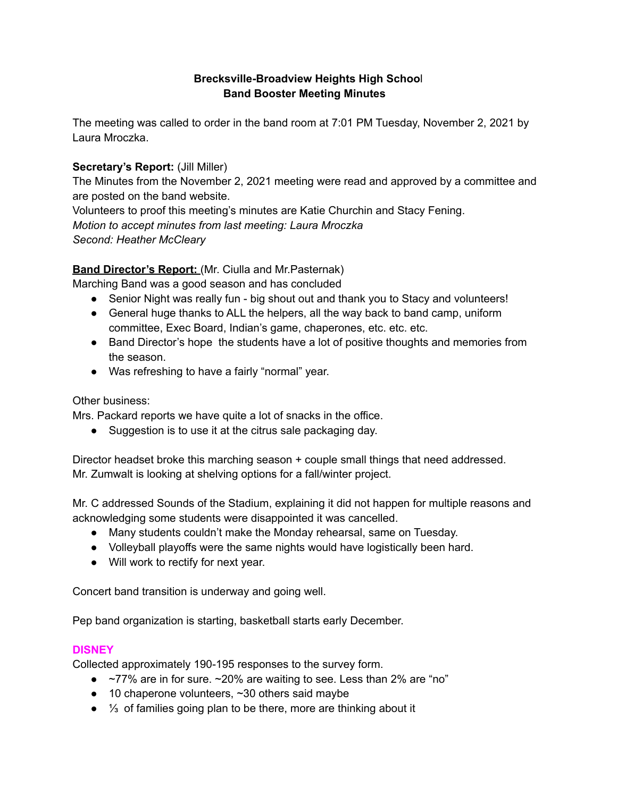# **Brecksville-Broadview Heights High Schoo**l **Band Booster Meeting Minutes**

The meeting was called to order in the band room at 7:01 PM Tuesday, November 2, 2021 by Laura Mroczka.

## **Secretary's Report:** (Jill Miller)

The Minutes from the November 2, 2021 meeting were read and approved by a committee and are posted on the band website.

Volunteers to proof this meeting's minutes are Katie Churchin and Stacy Fening. *Motion to accept minutes from last meeting: Laura Mroczka Second: Heather McCleary*

# **Band Director's Report:** (Mr. Ciulla and Mr.Pasternak)

Marching Band was a good season and has concluded

- Senior Night was really fun big shout out and thank you to Stacy and volunteers!
- General huge thanks to ALL the helpers, all the way back to band camp, uniform committee, Exec Board, Indian's game, chaperones, etc. etc. etc.
- Band Director's hope the students have a lot of positive thoughts and memories from the season.
- Was refreshing to have a fairly "normal" year.

## Other business:

Mrs. Packard reports we have quite a lot of snacks in the office.

• Suggestion is to use it at the citrus sale packaging day.

Director headset broke this marching season + couple small things that need addressed. Mr. Zumwalt is looking at shelving options for a fall/winter project.

Mr. C addressed Sounds of the Stadium, explaining it did not happen for multiple reasons and acknowledging some students were disappointed it was cancelled.

- Many students couldn't make the Monday rehearsal, same on Tuesday.
- Volleyball playoffs were the same nights would have logistically been hard.
- Will work to rectify for next year.

Concert band transition is underway and going well.

Pep band organization is starting, basketball starts early December.

### **DISNEY**

Collected approximately 190-195 responses to the survey form.

- $\bullet$  ~77% are in for sure. ~20% are waiting to see. Less than 2% are "no"
- 10 chaperone volunteers, ~30 others said maybe
- ¼ of families going plan to be there, more are thinking about it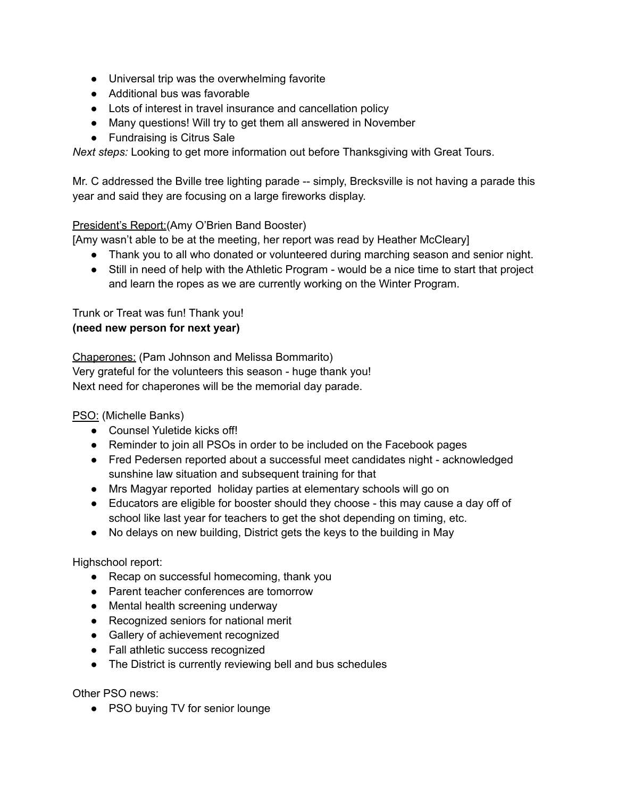- Universal trip was the overwhelming favorite
- Additional bus was favorable
- Lots of interest in travel insurance and cancellation policy
- Many questions! Will try to get them all answered in November
- Fundraising is Citrus Sale

*Next steps:* Looking to get more information out before Thanksgiving with Great Tours.

Mr. C addressed the Bville tree lighting parade -- simply, Brecksville is not having a parade this year and said they are focusing on a large fireworks display.

# President's Report:(Amy O'Brien Band Booster)

[Amy wasn't able to be at the meeting, her report was read by Heather McCleary]

- Thank you to all who donated or volunteered during marching season and senior night.
- Still in need of help with the Athletic Program would be a nice time to start that project and learn the ropes as we are currently working on the Winter Program.

Trunk or Treat was fun! Thank you! **(need new person for next year)**

Chaperones: (Pam Johnson and Melissa Bommarito)

Very grateful for the volunteers this season - huge thank you!

Next need for chaperones will be the memorial day parade.

PSO: (Michelle Banks)

- Counsel Yuletide kicks off!
- Reminder to join all PSOs in order to be included on the Facebook pages
- Fred Pedersen reported about a successful meet candidates night acknowledged sunshine law situation and subsequent training for that
- Mrs Magyar reported holiday parties at elementary schools will go on
- Educators are eligible for booster should they choose this may cause a day off of school like last year for teachers to get the shot depending on timing, etc.
- No delays on new building, District gets the keys to the building in May

Highschool report:

- Recap on successful homecoming, thank you
- Parent teacher conferences are tomorrow
- Mental health screening underway
- Recognized seniors for national merit
- Gallery of achievement recognized
- Fall athletic success recognized
- The District is currently reviewing bell and bus schedules

Other PSO news:

● PSO buying TV for senior lounge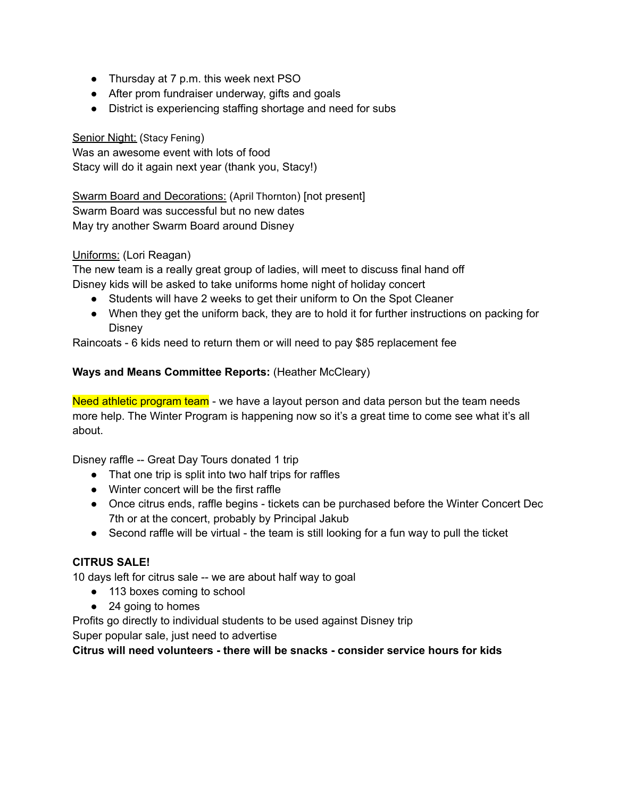- Thursday at 7 p.m. this week next PSO
- After prom fundraiser underway, gifts and goals
- District is experiencing staffing shortage and need for subs

## Senior Night: (Stacy Fening)

Was an awesome event with lots of food Stacy will do it again next year (thank you, Stacy!)

#### Swarm Board and Decorations: (April Thornton) [not present] Swarm Board was successful but no new dates

May try another Swarm Board around Disney

# Uniforms: (Lori Reagan)

The new team is a really great group of ladies, will meet to discuss final hand off Disney kids will be asked to take uniforms home night of holiday concert

- Students will have 2 weeks to get their uniform to On the Spot Cleaner
- When they get the uniform back, they are to hold it for further instructions on packing for **Disney**

Raincoats - 6 kids need to return them or will need to pay \$85 replacement fee

# **Ways and Means Committee Reports:** (Heather McCleary)

Need athletic program team - we have a layout person and data person but the team needs more help. The Winter Program is happening now so it's a great time to come see what it's all about.

Disney raffle -- Great Day Tours donated 1 trip

- That one trip is split into two half trips for raffles
- Winter concert will be the first raffle
- Once citrus ends, raffle begins tickets can be purchased before the Winter Concert Dec 7th or at the concert, probably by Principal Jakub
- Second raffle will be virtual the team is still looking for a fun way to pull the ticket

# **CITRUS SALE!**

10 days left for citrus sale -- we are about half way to goal

- 113 boxes coming to school
- 24 going to homes

Profits go directly to individual students to be used against Disney trip

Super popular sale, just need to advertise

**Citrus will need volunteers - there will be snacks - consider service hours for kids**